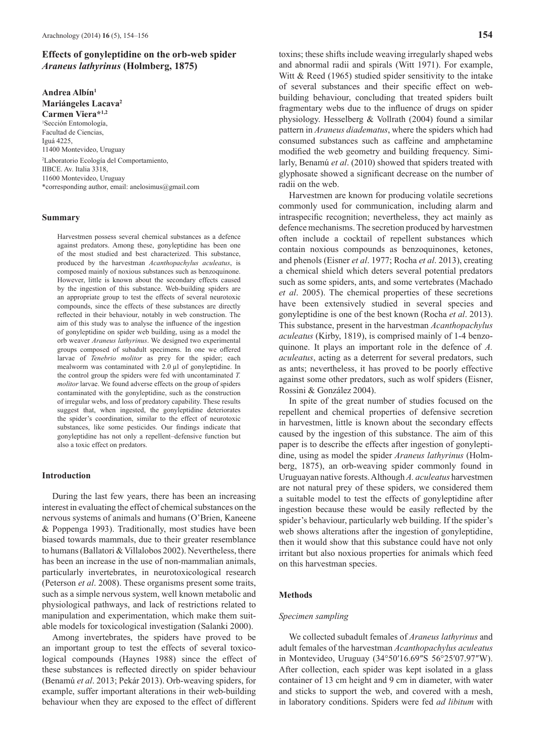# **Effects of gonyleptidine on the orb-web spider**  *Araneus lathyrinus* **(Holmberg, 1875)**

**Andrea Albín1**

**Mariángeles Lacava2 Carmen Viera\*1,2** 1 Sección Entomología, Facultad de Ciencias. Iguá 4225, 11400 Montevideo, Uruguay <sup>2</sup>Laboratorio Ecología del Comportamiento, IIBCE, Av. Italia 3318. 11600 Montevideo, Uruguay \*corresponding author, email: anelosimus@gmail.com

#### **Summary**

Harvestmen possess several chemical substances as a defence against predators. Among these, gonyleptidine has been one of the most studied and best characterized. This substance, produced by the harvestman *Acanthopachylus aculeatus*, is composed mainly of noxious substances such as benzoquinone. However, little is known about the secondary effects caused by the ingestion of this substance. Web-building spiders are an appropriate group to test the effects of several neurotoxic compounds, since the effects of these substances are directly reflected in their behaviour, notably in web construction. The aim of this study was to analyse the influence of the ingestion of gonyleptidine on spider web building, using as a model the orb weaver *Araneus lathyrinus*. We designed two experimental groups composed of subadult specimens. In one we offered larvae of *Tenebrio molitor* as prey for the spider; each mealworm was contaminated with 2.0 µl of gonyleptidine. In the control group the spiders were fed with uncontaminated *T. molitor* larvae. We found adverse effects on the group of spiders contaminated with the gonyleptidine, such as the construction of irregular webs, and loss of predatory capability. These results suggest that, when ingested, the gonyleptidine deteriorates the spider's coordination, similar to the effect of neurotoxic substances, like some pesticides. Our findings indicate that gonyleptidine has not only a repellent–defensive function but also a toxic effect on predators.

### **Introduction**

During the last few years, there has been an increasing interest in evaluating the effect of chemical substances on the nervous systems of animals and humans (O'Brien, Kaneene & Poppenga 1993). Traditionally, most studies have been biased towards mammals, due to their greater resemblance to humans (Ballatori & Villalobos 2002). Nevertheless, there has been an increase in the use of non-mammalian animals, particularly invertebrates, in neurotoxicological research (Peterson *et al*. 2008). These organisms present some traits, such as a simple nervous system, well known metabolic and physiological pathways, and lack of restrictions related to manipulation and experimentation, which make them suitable models for toxicological investigation (Salanki 2000).

Among invertebrates, the spiders have proved to be an important group to test the effects of several toxicological compounds (Haynes 1988) since the effect of these substances is reflected directly on spider behaviour (Benamú *et al*. 2013; Pekár 2013). Orb-weaving spiders, for example, suffer important alterations in their web-building behaviour when they are exposed to the effect of different

toxins; these shifts include weaving irregularly shaped webs and abnormal radii and spirals (Witt 1971). For example, Witt & Reed (1965) studied spider sensitivity to the intake of several substances and their specific effect on webbuilding behaviour, concluding that treated spiders built fragmentary webs due to the influence of drugs on spider physiology. Hesselberg & Vollrath (2004) found a similar pattern in *Araneus diadematus*, where the spiders which had consumed substances such as caffeine and amphetamine modified the web geometry and building frequency. Similarly, Benamú *et al*. (2010) showed that spiders treated with glyphosate showed a significant decrease on the number of radii on the web.

Harvestmen are known for producing volatile secretions commonly used for communication, including alarm and intraspecific recognition; nevertheless, they act mainly as defence mechanisms. The secretion produced by harvestmen often include a cocktail of repellent substances which contain noxious compounds as benzoquinones, ketones, and phenols (Eisner *et al*. 1977; Rocha *et al*. 2013), creating a chemical shield which deters several potential predators such as some spiders, ants, and some vertebrates (Machado *et al*. 2005). The chemical properties of these secretions have been extensively studied in several species and gonyleptidine is one of the best known (Rocha *et al*. 2013). This substance, present in the harvestman *Acanthopachylus aculeatus* (Kirby, 1819), is comprised mainly of 1-4 benzoquinone. It plays an important role in the defence of *A. aculeatus*, acting as a deterrent for several predators, such as ants; nevertheless, it has proved to be poorly effective against some other predators, such as wolf spiders (Eisner, Rossini & González 2004).

In spite of the great number of studies focused on the repellent and chemical properties of defensive secretion in harvestmen, little is known about the secondary effects caused by the ingestion of this substance. The aim of this paper is to describe the effects after ingestion of gonyleptidine, using as model the spider *Araneus lathyrinus* (Holmberg, 1875), an orb-weaving spider commonly found in Uruguayan native forests. Although *A. aculeatus* harvestmen are not natural prey of these spiders, we considered them a suitable model to test the effects of gonyleptidine after ingestion because these would be easily reflected by the spider's behaviour, particularly web building. If the spider's web shows alterations after the ingestion of gonyleptidine, then it would show that this substance could have not only irritant but also noxious properties for animals which feed on this harvestman species.

## **Methods**

#### *Specimen sampling*

We collected subadult females of *Araneus lathyrinus* and adult females of the harvestman *Acanthopachylus aculeatus* in Montevideo, Uruguay  $(34^{\circ}50'16.69''S\ 56^{\circ}25'07.97''W)$ . After collection, each spider was kept isolated in a glass container of 13 cm height and 9 cm in diameter, with water and sticks to support the web, and covered with a mesh, in laboratory conditions. Spiders were fed *ad libitum* with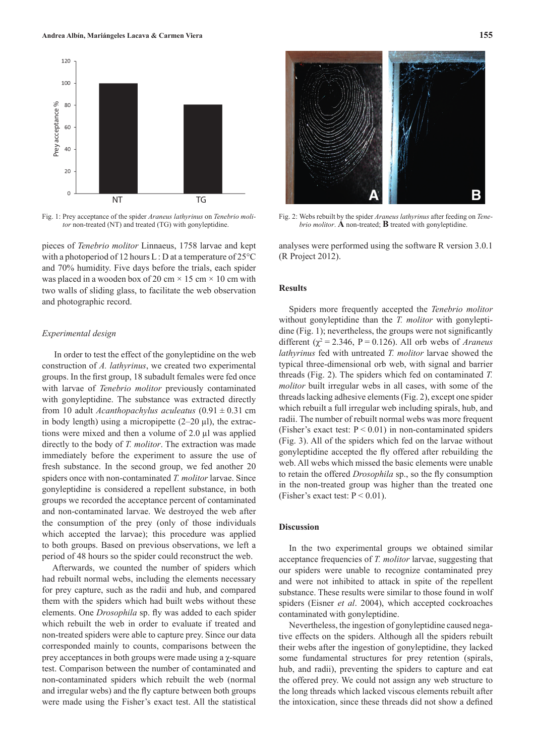

Fig. 1: Prey acceptance of the spider *Araneus lathyrinus* on *Tenebrio molitor* non-treated (NT) and treated (TG) with gonyleptidine.

pieces of *Tenebrio molitor* Linnaeus, 1758 larvae and kept with a photoperiod of 12 hours L: D at a temperature of  $25^{\circ}$ C and 70% humidity. Five days before the trials, each spider was placed in a wooden box of 20 cm  $\times$  15 cm  $\times$  10 cm with two walls of sliding glass, to facilitate the web observation and photographic record.

## *Experimental design*

 In order to test the effect of the gonyleptidine on the web construction of *A. lathyrinus*, we created two experimental groups. In the first group, 18 subadult females were fed once with larvae of *Tenebrio molitor* previously contaminated with gonyleptidine. The substance was extracted directly from 10 adult *Acanthopachylus aculeatus* (0.91 ± 0.31 cm in body length) using a micropipette  $(2-20 \mu l)$ , the extractions were mixed and then a volume of 2.0 µl was applied directly to the body of *T. molitor*. The extraction was made immediately before the experiment to assure the use of fresh substance. In the second group, we fed another 20 spiders once with non-contaminated *T. molitor* larvae. Since gonyleptidine is considered a repellent substance, in both groups we recorded the acceptance percent of contaminated and non-contaminated larvae. We destroyed the web after the consumption of the prey (only of those individuals which accepted the larvae); this procedure was applied to both groups. Based on previous observations, we left a period of 48 hours so the spider could reconstruct the web.

Afterwards, we counted the number of spiders which had rebuilt normal webs, including the elements necessary for prey capture, such as the radii and hub, and compared them with the spiders which had built webs without these elements. One *Drosophila* sp. fly was added to each spider which rebuilt the web in order to evaluate if treated and non-treated spiders were able to capture prey. Since our data corresponded mainly to counts, comparisons between the prey acceptances in both groups were made using a  $\gamma$ -square test. Comparison between the number of contaminated and non-contaminated spiders which rebuilt the web (normal and irregular webs) and the fly capture between both groups were made using the Fisher's exact test. All the statistical



Fig. 2: Webs rebuilt by the spider *Araneus lathyrinus* after feeding on *Tenebrio molitor*. **A** non-treated; **B** treated with gonyleptidine.

analyses were performed using the software R version 3.0.1 (R Project 2012).

### **Results**

Spiders more frequently accepted the *Tenebrio molitor* without gonyleptidine than the *T. molitor* with gonyleptidine (Fig. 1); nevertheless, the groups were not significantly different ( $\gamma^2$  = 2.346, P = 0.126). All orb webs of *Araneus lathyrinus* fed with untreated *T. molitor* larvae showed the typical three-dimensional orb web, with signal and barrier threads (Fig. 2). The spiders which fed on contaminated *T. molitor* built irregular webs in all cases, with some of the threads lacking adhesive elements (Fig. 2), except one spider which rebuilt a full irregular web including spirals, hub, and radii. The number of rebuilt normal webs was more frequent (Fisher's exact test:  $P < 0.01$ ) in non-contaminated spiders (Fig. 3). All of the spiders which fed on the larvae without gonyleptidine accepted the fly offered after rebuilding the web. All webs which missed the basic elements were unable to retain the offered *Drosophila* sp., so the fly consumption in the non-treated group was higher than the treated one (Fisher's exact test:  $P < 0.01$ ).

## **Discussion**

In the two experimental groups we obtained similar acceptance frequencies of *T. molitor* larvae, suggesting that our spiders were unable to recognize contaminated prey and were not inhibited to attack in spite of the repellent substance. These results were similar to those found in wolf spiders (Eisner *et al*. 2004), which accepted cockroaches contaminated with gonyleptidine.

Nevertheless, the ingestion of gonyleptidine caused negative effects on the spiders. Although all the spiders rebuilt their webs after the ingestion of gonyleptidine, they lacked some fundamental structures for prey retention (spirals, hub, and radii), preventing the spiders to capture and eat the offered prey. We could not assign any web structure to the long threads which lacked viscous elements rebuilt after the intoxication, since these threads did not show a defined